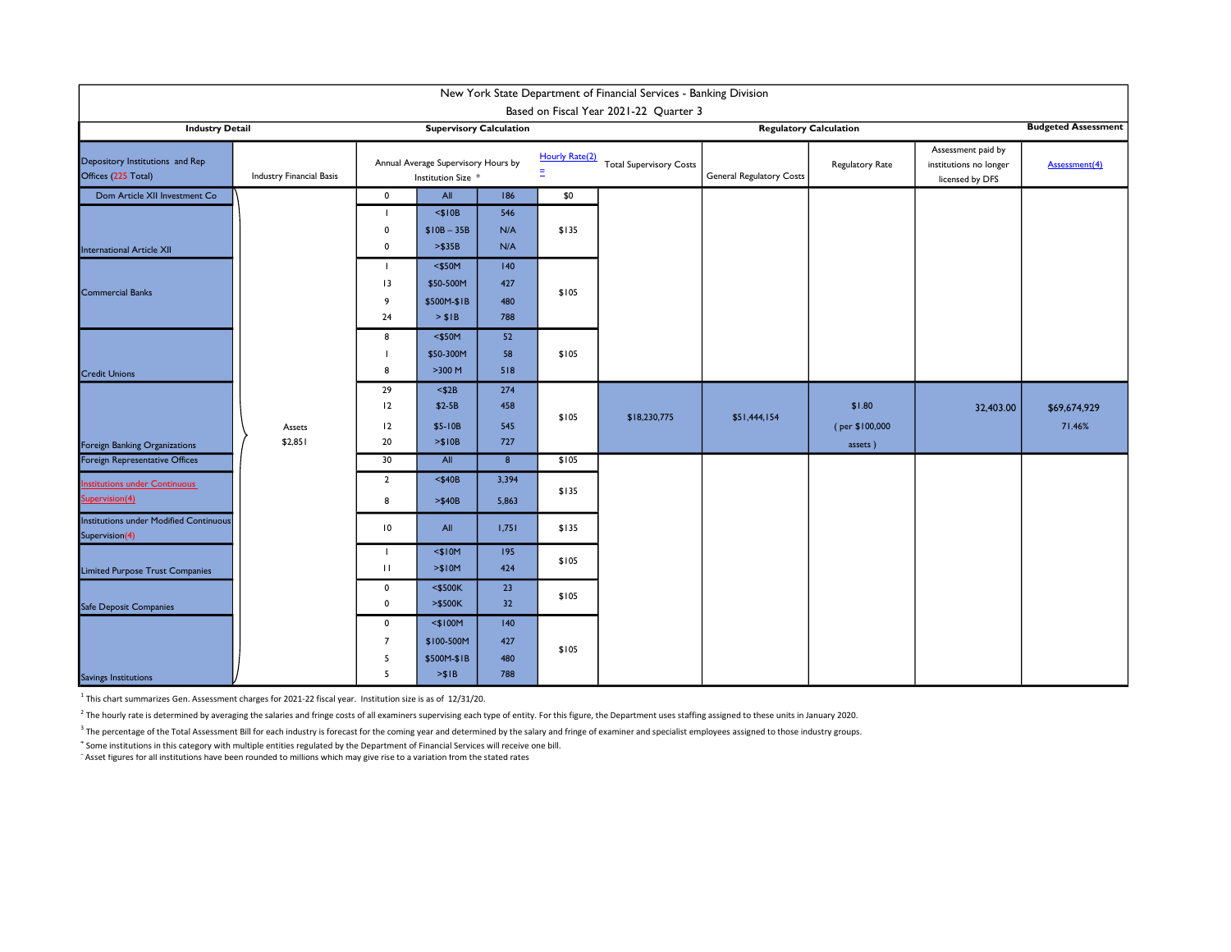| New York State Department of Financial Services - Banking Division |                                |                                                           |                                                   |                          |                                                        |                               |                                                    |                                     |                                                                 |                        |  |
|--------------------------------------------------------------------|--------------------------------|-----------------------------------------------------------|---------------------------------------------------|--------------------------|--------------------------------------------------------|-------------------------------|----------------------------------------------------|-------------------------------------|-----------------------------------------------------------------|------------------------|--|
| Based on Fiscal Year 2021-22 Quarter 3                             |                                |                                                           |                                                   |                          |                                                        |                               |                                                    |                                     |                                                                 |                        |  |
| <b>Industry Detail</b>                                             | <b>Supervisory Calculation</b> |                                                           |                                                   |                          |                                                        | <b>Regulatory Calculation</b> |                                                    |                                     | <b>Budgeted Assessment</b>                                      |                        |  |
| Depository Institutions and Rep<br>Offices (225 Total)             | Industry Financial Basis       | Annual Average Supervisory Hours by<br>Institution Size * |                                                   |                          | Hourly Rate(2)<br><b>Total Supervisory Costs</b><br>Ξ. |                               | Regulatory Rate<br><b>General Regulatory Costs</b> |                                     | Assessment paid by<br>institutions no longer<br>licensed by DFS | Assessment(4)          |  |
| Dom Article XII Investment Co                                      |                                | $\mathbf 0$                                               | All                                               | 186                      | \$0                                                    |                               |                                                    |                                     |                                                                 |                        |  |
| <b>International Article XII</b>                                   |                                | $\mathbf 0$<br>$\mathbf 0$                                | $<$ \$10B<br>$$10B - 35B$<br>> \$35B              | 546<br>N/A<br>N/A        | \$135                                                  |                               |                                                    |                                     |                                                                 |                        |  |
| <b>Commercial Banks</b>                                            |                                | $\mathbf{I}$<br>13<br>9<br>24                             | $<$ \$50M<br>\$50-500M<br>\$500M-\$1B<br>> \$IB   | 140<br>427<br>480<br>788 | \$105                                                  |                               |                                                    |                                     |                                                                 |                        |  |
| <b>Credit Unions</b>                                               |                                | 8<br>8                                                    | $<$ \$50M<br>\$50-300M<br>>300 M                  | 52<br>58<br>518          | \$105                                                  |                               |                                                    |                                     |                                                                 |                        |  |
| Foreign Banking Organizations                                      | Assets<br>\$2,851              | 29<br>12<br>12<br>20                                      | $<$ \$2B<br>$$2-5B$<br>$$5-10B$<br>> \$10B        | 274<br>458<br>545<br>727 | \$105                                                  | \$18,230,775                  | \$51,444,154                                       | \$1.80<br>(per \$100,000<br>assets) | 32,403.00                                                       | \$69,674,929<br>71.46% |  |
| Foreign Representative Offices                                     |                                | 30                                                        | All                                               | $\boldsymbol{8}$         | \$105                                                  |                               |                                                    |                                     |                                                                 |                        |  |
| <b>Institutions under Continuous</b><br>Supervision(4)             |                                | $\overline{2}$<br>8                                       | $<$ \$40B<br>$>$ \$40B                            | 3,394<br>5,863           | \$135                                                  |                               |                                                    |                                     |                                                                 |                        |  |
| <b>Institutions under Modified Continuous</b><br>Supervision(4)    |                                | 10                                                        | All                                               | 1,751                    | \$135                                                  |                               |                                                    |                                     |                                                                 |                        |  |
| Limited Purpose Trust Companies                                    |                                | T<br>$\mathbf{H}$                                         | $<$ \$10M<br>> \$10M                              | 195<br>424               | \$105                                                  |                               |                                                    |                                     |                                                                 |                        |  |
| Safe Deposit Companies                                             |                                | $\mathbf 0$<br>$\mathbf 0$                                | $<$ \$500K<br>$> $500K$                           | 23<br>32                 | \$105                                                  |                               |                                                    |                                     |                                                                 |                        |  |
| Savings Institutions                                               |                                | $\mathbf 0$<br>$\overline{7}$<br>5<br>5                   | $<$ \$100M<br>\$100-500M<br>\$500M-\$1B<br>> \$IB | 140<br>427<br>480<br>788 | \$105                                                  |                               |                                                    |                                     |                                                                 |                        |  |

 $^1$  This chart summarizes Gen. Assessment charges for 2021-22 fiscal year. Institution size is as of 12/31/20.

<sup>2</sup> The hourly rate is determined by averaging the salaries and fringe costs of all examiners supervising each type of entity. For this figure, the Department uses staffing assigned to these units in January 2020.

<sup>3</sup> The percentage of the Total Assessment Bill for each industry is forecast for the coming year and determined by the salary and fringe of examiner and specialist employees assigned to those industry groups. 4 Some institutions in this category with multiple entities regulated by the Department of Financial Services will receive one bill.

<sup>5</sup>Asset figures for all institutions have been rounded to millions which may give rise to a variation from the stated rates